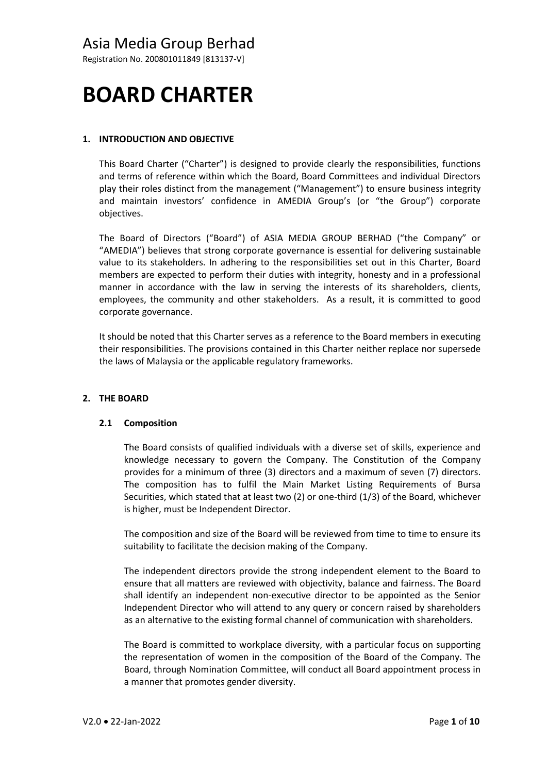Registration No. 200801011849 [813137-V]

# **BOARD CHARTER**

# **1. INTRODUCTION AND OBJECTIVE**

This Board Charter ("Charter") is designed to provide clearly the responsibilities, functions and terms of reference within which the Board, Board Committees and individual Directors play their roles distinct from the management ("Management") to ensure business integrity and maintain investors' confidence in AMEDIA Group's (or "the Group") corporate objectives.

The Board of Directors ("Board") of ASIA MEDIA GROUP BERHAD ("the Company" or "AMEDIA") believes that strong corporate governance is essential for delivering sustainable value to its stakeholders. In adhering to the responsibilities set out in this Charter, Board members are expected to perform their duties with integrity, honesty and in a professional manner in accordance with the law in serving the interests of its shareholders, clients, employees, the community and other stakeholders. As a result, it is committed to good corporate governance.

It should be noted that this Charter serves as a reference to the Board members in executing their responsibilities. The provisions contained in this Charter neither replace nor supersede the laws of Malaysia or the applicable regulatory frameworks.

### **2. THE BOARD**

### **2.1 Composition**

The Board consists of qualified individuals with a diverse set of skills, experience and knowledge necessary to govern the Company. The Constitution of the Company provides for a minimum of three (3) directors and a maximum of seven (7) directors. The composition has to fulfil the Main Market Listing Requirements of Bursa Securities, which stated that at least two (2) or one-third (1/3) of the Board, whichever is higher, must be Independent Director.

The composition and size of the Board will be reviewed from time to time to ensure its suitability to facilitate the decision making of the Company.

The independent directors provide the strong independent element to the Board to ensure that all matters are reviewed with objectivity, balance and fairness. The Board shall identify an independent non‐executive director to be appointed as the Senior Independent Director who will attend to any query or concern raised by shareholders as an alternative to the existing formal channel of communication with shareholders.

The Board is committed to workplace diversity, with a particular focus on supporting the representation of women in the composition of the Board of the Company. The Board, through Nomination Committee, will conduct all Board appointment process in a manner that promotes gender diversity.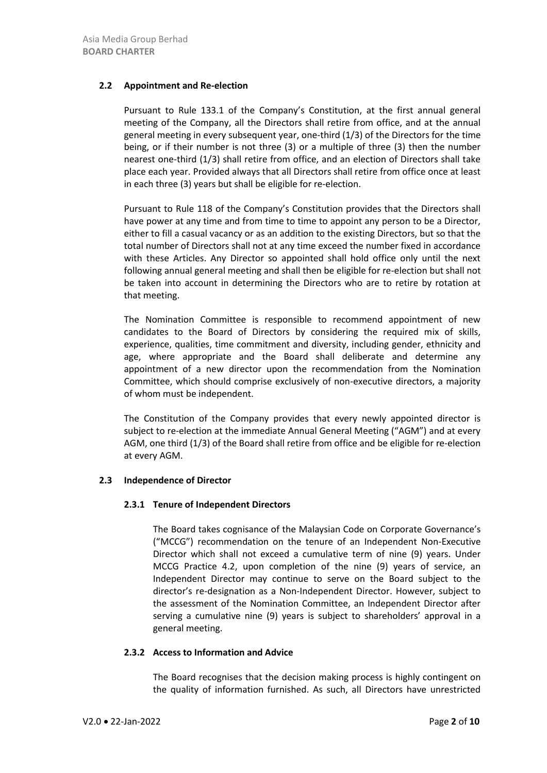## **2.2 Appointment and Re‐election**

Pursuant to Rule 133.1 of the Company's Constitution, at the first annual general meeting of the Company, all the Directors shall retire from office, and at the annual general meeting in every subsequent year, one-third (1/3) of the Directors for the time being, or if their number is not three (3) or a multiple of three (3) then the number nearest one-third (1/3) shall retire from office, and an election of Directors shall take place each year. Provided always that all Directors shall retire from office once at least in each three (3) years but shall be eligible for re-election.

Pursuant to Rule 118 of the Company's Constitution provides that the Directors shall have power at any time and from time to time to appoint any person to be a Director, either to fill a casual vacancy or as an addition to the existing Directors, but so that the total number of Directors shall not at any time exceed the number fixed in accordance with these Articles. Any Director so appointed shall hold office only until the next following annual general meeting and shall then be eligible for re-election but shall not be taken into account in determining the Directors who are to retire by rotation at that meeting.

The Nomination Committee is responsible to recommend appointment of new candidates to the Board of Directors by considering the required mix of skills, experience, qualities, time commitment and diversity, including gender, ethnicity and age, where appropriate and the Board shall deliberate and determine any appointment of a new director upon the recommendation from the Nomination Committee, which should comprise exclusively of non‐executive directors, a majority of whom must be independent.

The Constitution of the Company provides that every newly appointed director is subject to re-election at the immediate Annual General Meeting ("AGM") and at every AGM, one third (1/3) of the Board shall retire from office and be eligible for re‐election at every AGM.

### **2.3 Independence of Director**

### **2.3.1 Tenure of Independent Directors**

The Board takes cognisance of the Malaysian Code on Corporate Governance's ("MCCG") recommendation on the tenure of an Independent Non-Executive Director which shall not exceed a cumulative term of nine (9) years. Under MCCG Practice 4.2, upon completion of the nine (9) years of service, an Independent Director may continue to serve on the Board subject to the director's re-designation as a Non-Independent Director. However, subject to the assessment of the Nomination Committee, an Independent Director after serving a cumulative nine (9) years is subject to shareholders' approval in a general meeting.

### **2.3.2 Access to Information and Advice**

The Board recognises that the decision making process is highly contingent on the quality of information furnished. As such, all Directors have unrestricted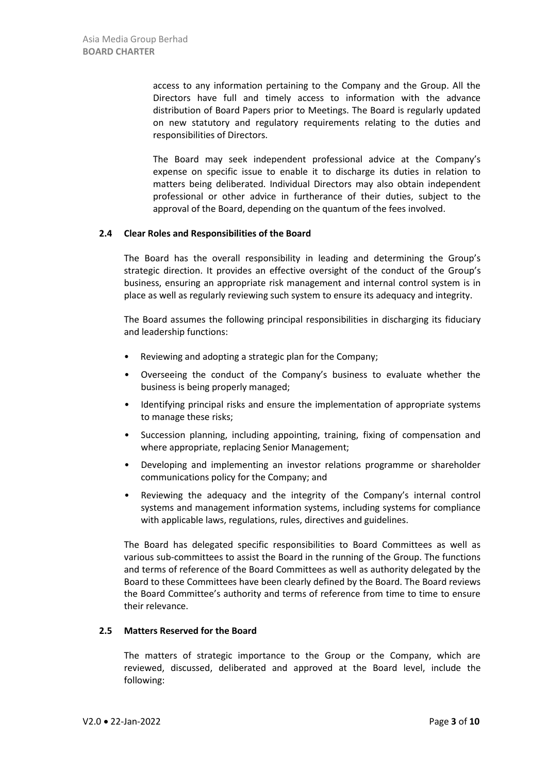access to any information pertaining to the Company and the Group. All the Directors have full and timely access to information with the advance distribution of Board Papers prior to Meetings. The Board is regularly updated on new statutory and regulatory requirements relating to the duties and responsibilities of Directors.

The Board may seek independent professional advice at the Company's expense on specific issue to enable it to discharge its duties in relation to matters being deliberated. Individual Directors may also obtain independent professional or other advice in furtherance of their duties, subject to the approval of the Board, depending on the quantum of the fees involved.

#### **2.4 Clear Roles and Responsibilities of the Board**

The Board has the overall responsibility in leading and determining the Group's strategic direction. It provides an effective oversight of the conduct of the Group's business, ensuring an appropriate risk management and internal control system is in place as well as regularly reviewing such system to ensure its adequacy and integrity.

The Board assumes the following principal responsibilities in discharging its fiduciary and leadership functions:

- Reviewing and adopting a strategic plan for the Company;
- Overseeing the conduct of the Company's business to evaluate whether the business is being properly managed;
- Identifying principal risks and ensure the implementation of appropriate systems to manage these risks;
- Succession planning, including appointing, training, fixing of compensation and where appropriate, replacing Senior Management;
- Developing and implementing an investor relations programme or shareholder communications policy for the Company; and
- Reviewing the adequacy and the integrity of the Company's internal control systems and management information systems, including systems for compliance with applicable laws, regulations, rules, directives and guidelines.

The Board has delegated specific responsibilities to Board Committees as well as various sub-committees to assist the Board in the running of the Group. The functions and terms of reference of the Board Committees as well as authority delegated by the Board to these Committees have been clearly defined by the Board. The Board reviews the Board Committee's authority and terms of reference from time to time to ensure their relevance.

#### **2.5 Matters Reserved for the Board**

The matters of strategic importance to the Group or the Company, which are reviewed, discussed, deliberated and approved at the Board level, include the following: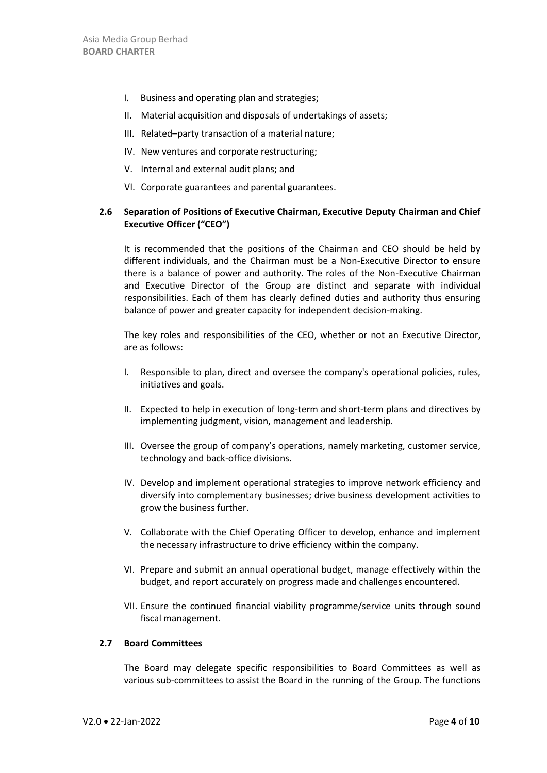- I. Business and operating plan and strategies;
- II. Material acquisition and disposals of undertakings of assets;
- III. Related–party transaction of a material nature;
- IV. New ventures and corporate restructuring;
- V. Internal and external audit plans; and
- VI. Corporate guarantees and parental guarantees.

# **2.6 Separation of Positions of Executive Chairman, Executive Deputy Chairman and Chief Executive Officer ("CEO")**

It is recommended that the positions of the Chairman and CEO should be held by different individuals, and the Chairman must be a Non-Executive Director to ensure there is a balance of power and authority. The roles of the Non-Executive Chairman and Executive Director of the Group are distinct and separate with individual responsibilities. Each of them has clearly defined duties and authority thus ensuring balance of power and greater capacity for independent decision-making.

The key roles and responsibilities of the CEO, whether or not an Executive Director, are as follows:

- I. Responsible to plan, direct and oversee the company's operational policies, rules, initiatives and goals.
- II. Expected to help in execution of long-term and short-term plans and directives by implementing judgment, vision, management and leadership.
- III. Oversee the group of company's operations, namely marketing, customer service, technology and back-office divisions.
- IV. Develop and implement operational strategies to improve network efficiency and diversify into complementary businesses; drive business development activities to grow the business further.
- V. Collaborate with the Chief Operating Officer to develop, enhance and implement the necessary infrastructure to drive efficiency within the company.
- VI. Prepare and submit an annual operational budget, manage effectively within the budget, and report accurately on progress made and challenges encountered.
- VII. Ensure the continued financial viability programme/service units through sound fiscal management.

## **2.7 Board Committees**

The Board may delegate specific responsibilities to Board Committees as well as various sub-committees to assist the Board in the running of the Group. The functions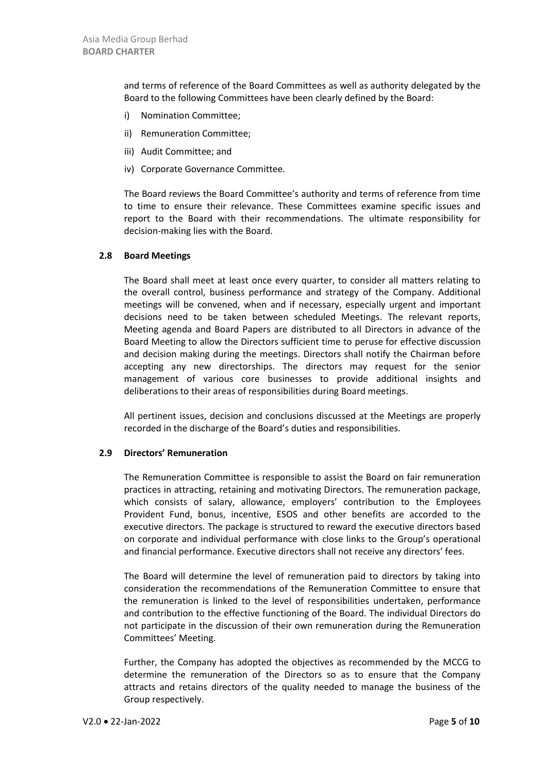and terms of reference of the Board Committees as well as authority delegated by the Board to the following Committees have been clearly defined by the Board:

- i) Nomination Committee;
- ii) Remuneration Committee;
- iii) Audit Committee; and
- iv) Corporate Governance Committee.

The Board reviews the Board Committee's authority and terms of reference from time to time to ensure their relevance. These Committees examine specific issues and report to the Board with their recommendations. The ultimate responsibility for decision-making lies with the Board.

## **2.8 Board Meetings**

The Board shall meet at least once every quarter, to consider all matters relating to the overall control, business performance and strategy of the Company. Additional meetings will be convened, when and if necessary, especially urgent and important decisions need to be taken between scheduled Meetings. The relevant reports, Meeting agenda and Board Papers are distributed to all Directors in advance of the Board Meeting to allow the Directors sufficient time to peruse for effective discussion and decision making during the meetings. Directors shall notify the Chairman before accepting any new directorships. The directors may request for the senior management of various core businesses to provide additional insights and deliberations to their areas of responsibilities during Board meetings.

All pertinent issues, decision and conclusions discussed at the Meetings are properly recorded in the discharge of the Board's duties and responsibilities.

### **2.9 Directors' Remuneration**

The Remuneration Committee is responsible to assist the Board on fair remuneration practices in attracting, retaining and motivating Directors. The remuneration package, which consists of salary, allowance, employers' contribution to the Employees Provident Fund, bonus, incentive, ESOS and other benefits are accorded to the executive directors. The package is structured to reward the executive directors based on corporate and individual performance with close links to the Group's operational and financial performance. Executive directors shall not receive any directors' fees.

The Board will determine the level of remuneration paid to directors by taking into consideration the recommendations of the Remuneration Committee to ensure that the remuneration is linked to the level of responsibilities undertaken, performance and contribution to the effective functioning of the Board. The individual Directors do not participate in the discussion of their own remuneration during the Remuneration Committees' Meeting.

Further, the Company has adopted the objectives as recommended by the MCCG to determine the remuneration of the Directors so as to ensure that the Company attracts and retains directors of the quality needed to manage the business of the Group respectively.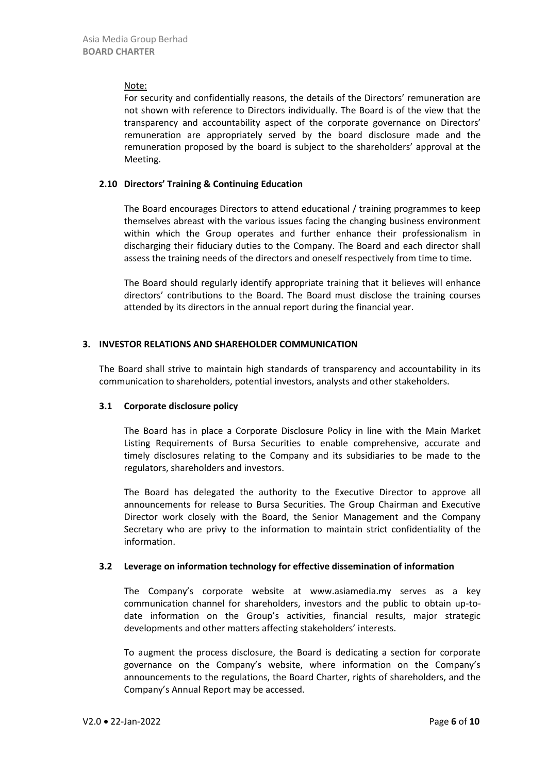#### Note:

For security and confidentially reasons, the details of the Directors' remuneration are not shown with reference to Directors individually. The Board is of the view that the transparency and accountability aspect of the corporate governance on Directors' remuneration are appropriately served by the board disclosure made and the remuneration proposed by the board is subject to the shareholders' approval at the Meeting.

#### **2.10 Directors' Training & Continuing Education**

The Board encourages Directors to attend educational / training programmes to keep themselves abreast with the various issues facing the changing business environment within which the Group operates and further enhance their professionalism in discharging their fiduciary duties to the Company. The Board and each director shall assess the training needs of the directors and oneself respectively from time to time.

The Board should regularly identify appropriate training that it believes will enhance directors' contributions to the Board. The Board must disclose the training courses attended by its directors in the annual report during the financial year.

### **3. INVESTOR RELATIONS AND SHAREHOLDER COMMUNICATION**

The Board shall strive to maintain high standards of transparency and accountability in its communication to shareholders, potential investors, analysts and other stakeholders.

### **3.1 Corporate disclosure policy**

The Board has in place a Corporate Disclosure Policy in line with the Main Market Listing Requirements of Bursa Securities to enable comprehensive, accurate and timely disclosures relating to the Company and its subsidiaries to be made to the regulators, shareholders and investors.

The Board has delegated the authority to the Executive Director to approve all announcements for release to Bursa Securities. The Group Chairman and Executive Director work closely with the Board, the Senior Management and the Company Secretary who are privy to the information to maintain strict confidentiality of the information.

### **3.2 Leverage on information technology for effective dissemination of information**

The Company's corporate website at www.asiamedia.my serves as a key communication channel for shareholders, investors and the public to obtain up-todate information on the Group's activities, financial results, major strategic developments and other matters affecting stakeholders' interests.

To augment the process disclosure, the Board is dedicating a section for corporate governance on the Company's website, where information on the Company's announcements to the regulations, the Board Charter, rights of shareholders, and the Company's Annual Report may be accessed.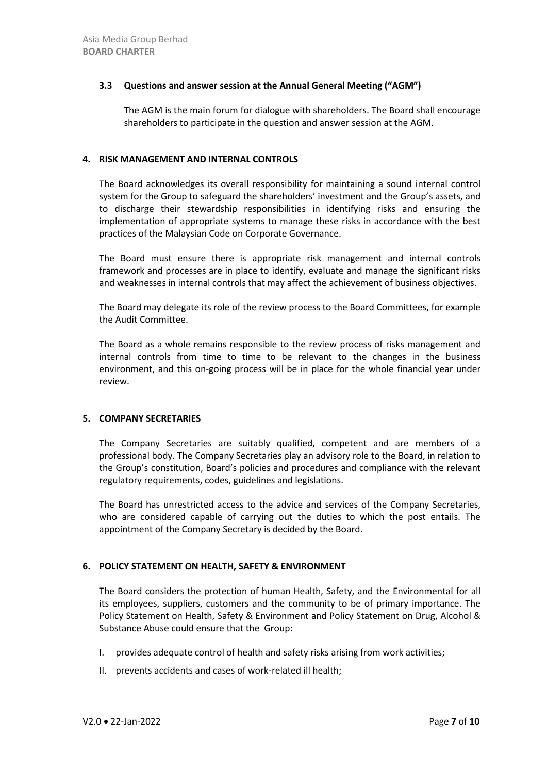### **3.3 Questions and answer session at the Annual General Meeting ("AGM")**

The AGM is the main forum for dialogue with shareholders. The Board shall encourage shareholders to participate in the question and answer session at the AGM.

### **4. RISK MANAGEMENT AND INTERNAL CONTROLS**

The Board acknowledges its overall responsibility for maintaining a sound internal control system for the Group to safeguard the shareholders' investment and the Group's assets, and to discharge their stewardship responsibilities in identifying risks and ensuring the implementation of appropriate systems to manage these risks in accordance with the best practices of the Malaysian Code on Corporate Governance.

The Board must ensure there is appropriate risk management and internal controls framework and processes are in place to identify, evaluate and manage the significant risks and weaknesses in internal controls that may affect the achievement of business objectives.

The Board may delegate its role of the review process to the Board Committees, for example the Audit Committee.

The Board as a whole remains responsible to the review process of risks management and internal controls from time to time to be relevant to the changes in the business environment, and this on-going process will be in place for the whole financial year under review.

### **5. COMPANY SECRETARIES**

The Company Secretaries are suitably qualified, competent and are members of a professional body. The Company Secretaries play an advisory role to the Board, in relation to the Group's constitution, Board's policies and procedures and compliance with the relevant regulatory requirements, codes, guidelines and legislations.

The Board has unrestricted access to the advice and services of the Company Secretaries, who are considered capable of carrying out the duties to which the post entails. The appointment of the Company Secretary is decided by the Board.

### **6. POLICY STATEMENT ON HEALTH, SAFETY & ENVIRONMENT**

The Board considers the protection of human Health, Safety, and the Environmental for all its employees, suppliers, customers and the community to be of primary importance. The Policy Statement on Health, Safety & Environment and Policy Statement on Drug, Alcohol & Substance Abuse could ensure that the Group:

- I. provides adequate control of health and safety risks arising from work activities;
- II. prevents accidents and cases of work-related ill health;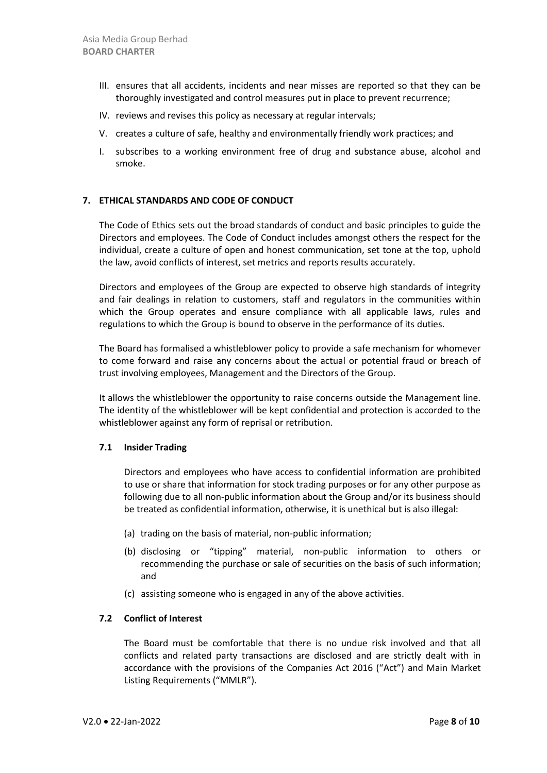- III. ensures that all accidents, incidents and near misses are reported so that they can be thoroughly investigated and control measures put in place to prevent recurrence;
- IV. reviews and revises this policy as necessary at regular intervals;
- V. creates a culture of safe, healthy and environmentally friendly work practices; and
- I. subscribes to a working environment free of drug and substance abuse, alcohol and smoke.

### **7. ETHICAL STANDARDS AND CODE OF CONDUCT**

The Code of Ethics sets out the broad standards of conduct and basic principles to guide the Directors and employees. The Code of Conduct includes amongst others the respect for the individual, create a culture of open and honest communication, set tone at the top, uphold the law, avoid conflicts of interest, set metrics and reports results accurately.

Directors and employees of the Group are expected to observe high standards of integrity and fair dealings in relation to customers, staff and regulators in the communities within which the Group operates and ensure compliance with all applicable laws, rules and regulations to which the Group is bound to observe in the performance of its duties.

The Board has formalised a whistleblower policy to provide a safe mechanism for whomever to come forward and raise any concerns about the actual or potential fraud or breach of trust involving employees, Management and the Directors of the Group.

It allows the whistleblower the opportunity to raise concerns outside the Management line. The identity of the whistleblower will be kept confidential and protection is accorded to the whistleblower against any form of reprisal or retribution.

#### **7.1 Insider Trading**

Directors and employees who have access to confidential information are prohibited to use or share that information for stock trading purposes or for any other purpose as following due to all non‐public information about the Group and/or its business should be treated as confidential information, otherwise, it is unethical but is also illegal:

- (a) trading on the basis of material, non-public information;
- (b) disclosing or "tipping" material, non-public information to others or recommending the purchase or sale of securities on the basis of such information; and
- (c) assisting someone who is engaged in any of the above activities.

### **7.2 Conflict of Interest**

The Board must be comfortable that there is no undue risk involved and that all conflicts and related party transactions are disclosed and are strictly dealt with in accordance with the provisions of the Companies Act 2016 ("Act") and Main Market Listing Requirements ("MMLR").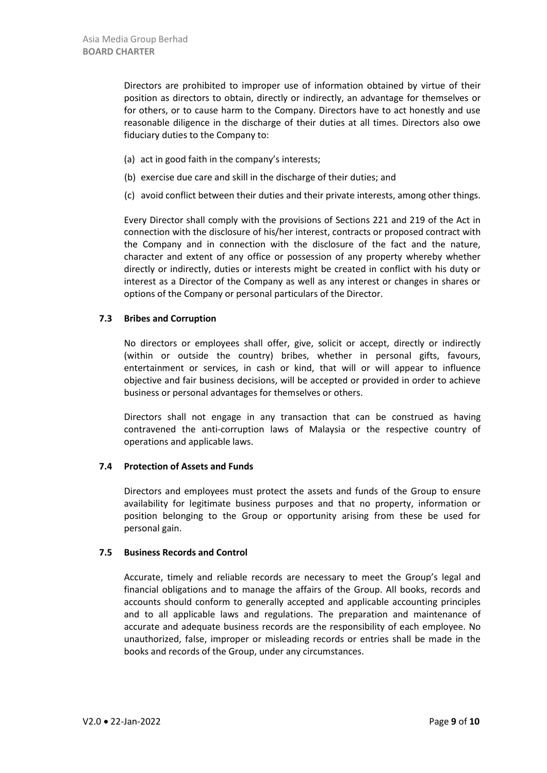Directors are prohibited to improper use of information obtained by virtue of their position as directors to obtain, directly or indirectly, an advantage for themselves or for others, or to cause harm to the Company. Directors have to act honestly and use reasonable diligence in the discharge of their duties at all times. Directors also owe fiduciary duties to the Company to:

- (a) act in good faith in the company's interests;
- (b) exercise due care and skill in the discharge of their duties; and
- (c) avoid conflict between their duties and their private interests, among other things.

Every Director shall comply with the provisions of Sections 221 and 219 of the Act in connection with the disclosure of his/her interest, contracts or proposed contract with the Company and in connection with the disclosure of the fact and the nature, character and extent of any office or possession of any property whereby whether directly or indirectly, duties or interests might be created in conflict with his duty or interest as a Director of the Company as well as any interest or changes in shares or options of the Company or personal particulars of the Director.

## **7.3 Bribes and Corruption**

No directors or employees shall offer, give, solicit or accept, directly or indirectly (within or outside the country) bribes, whether in personal gifts, favours, entertainment or services, in cash or kind, that will or will appear to influence objective and fair business decisions, will be accepted or provided in order to achieve business or personal advantages for themselves or others.

Directors shall not engage in any transaction that can be construed as having contravened the anti‐corruption laws of Malaysia or the respective country of operations and applicable laws.

### **7.4 Protection of Assets and Funds**

Directors and employees must protect the assets and funds of the Group to ensure availability for legitimate business purposes and that no property, information or position belonging to the Group or opportunity arising from these be used for personal gain.

### **7.5 Business Records and Control**

Accurate, timely and reliable records are necessary to meet the Group's legal and financial obligations and to manage the affairs of the Group. All books, records and accounts should conform to generally accepted and applicable accounting principles and to all applicable laws and regulations. The preparation and maintenance of accurate and adequate business records are the responsibility of each employee. No unauthorized, false, improper or misleading records or entries shall be made in the books and records of the Group, under any circumstances.